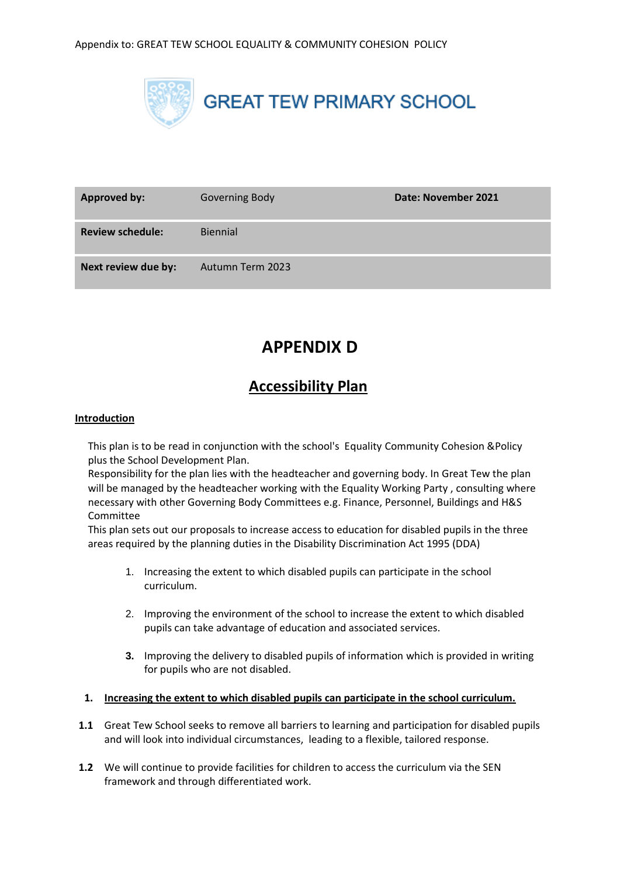

| <b>Approved by:</b>     | Governing Body   | Date: November 2021 |
|-------------------------|------------------|---------------------|
| <b>Review schedule:</b> | <b>Biennial</b>  |                     |
| Next review due by:     | Autumn Term 2023 |                     |

# **APPENDIX D**

# **Accessibility Plan**

# **Introduction**

This plan is to be read in conjunction with the school's Equality Community Cohesion &Policy plus the School Development Plan.

Responsibility for the plan lies with the headteacher and governing body. In Great Tew the plan will be managed by the headteacher working with the Equality Working Party, consulting where necessary with other Governing Body Committees e.g. Finance, Personnel, Buildings and H&S Committee

This plan sets out our proposals to increase access to education for disabled pupils in the three areas required by the planning duties in the Disability Discrimination Act 1995 (DDA)

- 1. Increasing the extent to which disabled pupils can participate in the school curriculum.
- 2. Improving the environment of the school to increase the extent to which disabled pupils can take advantage of education and associated services.
- **3.** Improving the delivery to disabled pupils of information which is provided in writing for pupils who are not disabled.

#### **1. Increasing the extent to which disabled pupils can participate in the school curriculum.**

- **1.1** Great Tew School seeks to remove all barriers to learning and participation for disabled pupils and will look into individual circumstances, leading to a flexible, tailored response.
- **1.2** We will continue to provide facilities for children to access the curriculum via the SEN framework and through differentiated work.